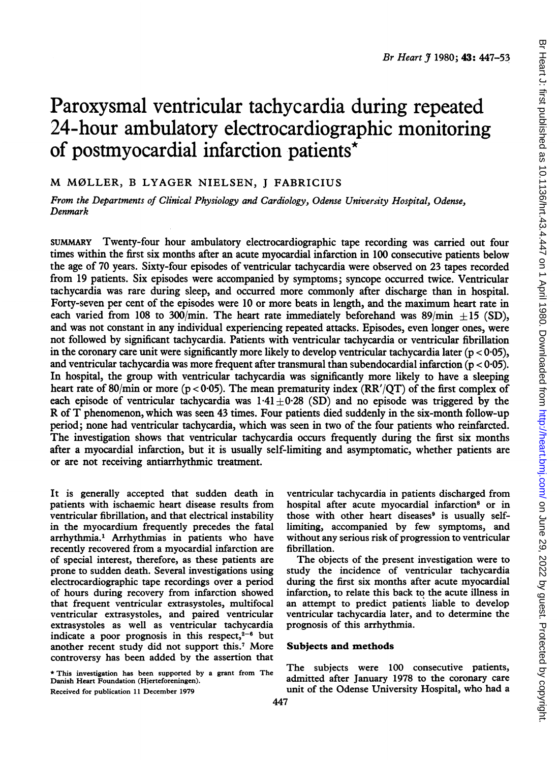# Paroxysmal ventricular tachycardia during repeated 24-hour ambulatory electrocardiographic monitoring of postmyocardial infarction patients\*

# M M0LLER, <sup>B</sup> LYAGER NIELSEN, <sup>J</sup> FABRICIUS

From the Departments of Clinical Physiology and Cardiology, Odense University Hospital, Odense, Denmark

SUMMARY Twenty-four hour ambulatory electrocardiographic tape recording was carried out four times within the first six months after an acute myocardial infarction in 100 consecutive patients below the age of 70 years. Sixty-four episodes of ventricular tachycardia were observed on 23 tapes recorded from 19 patients. Six episodes were accompanied by symptoms; syncope occurred twice. Ventricular tachycardia was rare during sleep, and occurred more commonly after discharge than in hospital. Forty-seven per cent of the episodes were 10 or more beats in length, and the maximum heart rate in each varied from 108 to 300/min. The heart rate immediately beforehand was  $89/\text{min} + 15$  (SD), and was not constant in any individual experiencing repeated attacks. Episodes, even longer ones, were not followed by significant tachycardia. Patients with ventricular tachycardia or ventricular fibrillation in the coronary care unit were significantly more likely to develop ventricular tachycardia later ( $p < 0.05$ ), and ventricular tachycardia was more frequent after transmural than subendocardial infarction ( $p < 0.05$ ). In hospital, the group with ventricular tachycardia was significantly more likely to have a sleeping heart rate of 80/min or more ( $p < 0.05$ ). The mean prematurity index (RR'/OT) of the first complex of each episode of ventricular tachycardia was  $1.41 \pm 0.28$  (SD) and no episode was triggered by the R of T phenomenon, which was seen <sup>43</sup> times. Four patients died suddenly in the six-month follow-up period; none had ventricular tachycardia, which was seen in two of the four patients who reinfarcted. The investigation shows that ventricular tachycardia occurs frequently during the first six months after a myocardial infarction, but it is usually self-limiting and asymptomatic, whether patients are or are not receiving antiarrhythmic treatment.

It is generally accepted that sudden death in patients with ischaemic heart disease results from ventricular fibrillation, and that electrical instability in the myocardium frequently precedes the fatal arrhythmia.' Arrhythmias in patients who have recently recovered from a myocardial infarction are of special interest, therefore, as these patients are prone to sudden death. Several investigations using electrocardiographic tape recordings over a period of hours during recovery from infarction showed that frequent ventricular extrasystoles, multifocal ventricular extrasystoles, and paired ventricular extrasystoles as well as ventricular tachycardia indicate a poor prognosis in this respect, $2-6$  but another recent study did not support this.7 More controversy has been added by the assertion that

\* This investigation has been supported by <sup>a</sup> grant from The Danish Heart Foundation (Hjerteforeningen).

Received for publication 11 December 1979

ventricular tachycardia in patients discharged from hospital after acute myocardial infarction<sup>8</sup> or in those with other heart diseases<sup>9</sup> is usually selflimiting, accompanied by few symptoms, and without any serious risk of progression to ventricular fibrillation.

The objects of the present investigation were to study the incidence of ventricular tachycardia during the first six months after acute myocardial infarction, to relate this back to the acute illness in an attempt to predict patients liable to develop ventricular tachycardia later, and to determine the prognosis of this arrhythmia.

# Subjects and methods

The subjects were 100 consecutive patients, admitted after January 1978 to the coronary care unit of the Odense University Hospital, who had a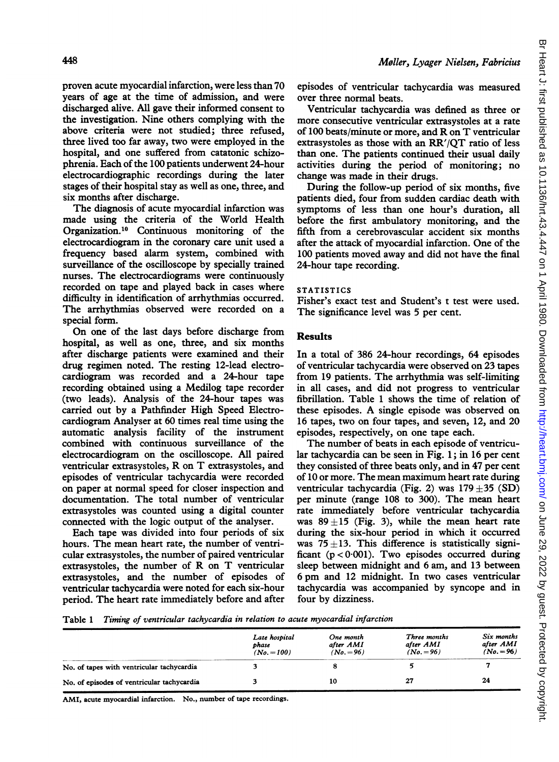proven acute myocardial infarction, were less than 70 years of age at the time of admission, and were discharged alive. All gave their informed consent to the investigation. Nine others complying with the above criteria were not studied; three refused, three lived too far away, two were employed in the hospital, and one suffered from catatonic schizophrenia. Each of the 100 patients underwent 24-hour electrocardiographic recordings during the later stages of their hospital stay as well as one, three, and six months after discharge.

The diagnosis of acute myocardial infarction was made using the criteria of the World Health Organization.'0 Continuous monitoring of the electrocardiogram in the coronary care unit used a frequency based alarm system, combined with surveillance of the oscilloscope by specially trained nurses. The electrocardiograms were continuously recorded on tape and played back in cases where difficulty in identification of arrhythmias occurred. The arrhythmias observed were recorded on a special form.

On one of the last days before discharge from hospital, as well as one, three, and six months after discharge patients were examined and their drug regimen noted. The resting 12-lead electrocardiogram was recorded and a 24-hour tape recording obtained using a Medilog tape recorder (two leads). Analysis of the 24-hour tapes was carried out by a Pathfinder High Speed Electrocardiogram Analyser at 60 times real time using the automatic analysis facility of the instrument combined with continuous surveillance of the electrocardiogram on the oscilloscope. All paired ventricular extrasystoles, R on T extrasystoles, and episodes of ventricular tachycardia were recorded on paper at normal speed for closer inspection and documentation. The total number of ventricular extrasystoles was counted using a digital counter connected with the logic output of the analyser.

Each tape was divided into four periods of six hours. The mean heart rate, the number of ventricular extrasystoles, the number of paired ventricular extrasystoles, the number of R on T ventricular extrasystoles, and the number of episodes of ventricular tachycardia were noted for each six-hour period. The heart rate immediately before and after episodes of ventricular tachycardia was measured over three normal beats.

Ventricular tachycardia was defined as three or more consecutive ventricular extrasystoles at a rate of <sup>100</sup> beats/minute or more, and R on T ventricular extrasystoles as those with an RR'/QT ratio of less than one. The patients continued their usual daily activities during the period of monitoring; no change was made in their drugs.

During the follow-up period of six months, five patients died, four from sudden cardiac death with symptoms of less than one hour's duration, all before the first ambulatory monitoring, and the fifth from a cerebrovascular accident six months after the attack of myocardial infarction. One of the 100 patients moved away and did not have the final 24-hour tape recording.

# STATISTICS

Fisher's exact test and Student's <sup>t</sup> test were used. The significance level was 5 per cent.

# **Results**

In a total of 386 24-hour recordings, 64 episodes of ventricular tachycardia were observed on 23 tapes from 19 patients. The arrhythmia was self-limiting in all cases, and did not progress to ventricular fibrillation. Table <sup>1</sup> shows the time of relation of these episodes. A single episode was observed on 16 tapes, two on four tapes, and seven, 12, and 20 episodes, respectively, on one tape each.

The number of beats in each episode of ventricular tachycardia can be seen in Fig. 1; in 16 per cent they consisted of three beats only, and in <sup>47</sup> per cent of 10 or more. The mean maximum heart rate during ventricular tachycardia (Fig. 2) was  $179 \pm 35$  (SD) per minute (range 108 to 300). The mean heart rate immediately before ventricular tachycardia was  $89 \pm 15$  (Fig. 3), while the mean heart rate during the six-hour period in which it occurred was  $75 \pm 13$ . This difference is statistically significant  $(p < 0.001)$ . Two episodes occurred during sleep between midnight and 6 am, and 13 between <sup>6</sup> pm and <sup>12</sup> midnight. In two cases ventricular tachycardia was accompanied by syncope and in four by dizziness.

Table <sup>1</sup> Timing of ventricular tachycardia in relation to acute myocardial infarction

|                                            | Late hospital<br>phase<br>$(No. = 100)$ | One month<br>after AMI<br>$(No. = 96)$ | Three months<br>after AMI<br>$(No. = 96)$ | Six months<br>after AMI<br>$(No. = 96)$ |
|--------------------------------------------|-----------------------------------------|----------------------------------------|-------------------------------------------|-----------------------------------------|
| No. of tapes with ventricular tachycardia  |                                         |                                        |                                           |                                         |
| No. of episodes of ventricular tachycardia |                                         | 10                                     | 27                                        | 24                                      |

AMI, acute myocardial infarction. No., number of tape recordings.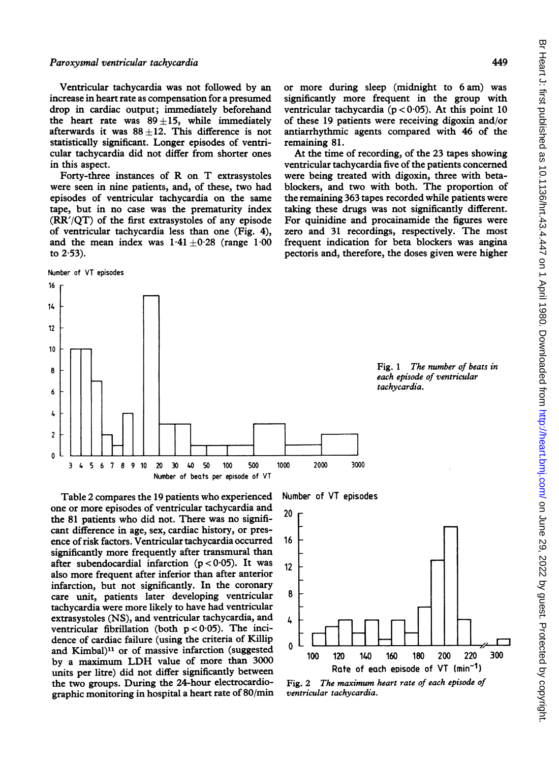449

Ventricular tachycardia was not followed by an increase in heart rate as compensation for a presumed drop in cardiac output; immediately beforehand the heart rate was  $89 \pm 15$ , while immediately afterwards it was  $88 \pm 12$ . This difference is not statistically significant. Longer episodes of ventricular tachycardia did not differ from shorter ones in this aspect.

Forty-three instances of R on T extrasystoles were seen in nine patients, and, of these, two had episodes of ventricular tachycardia on the same tape, but in no case was the prematurity index (RR'/QT) of the first extrasystoles of any episode of ventricular tachycardia less than one (Fig. 4), and the mean index was  $1.41 \pm 0.28$  (range  $1.00$ to  $2.53$ ).

```
Number of VT episodes
```
3 4 5 6 7 8 9

> 8 6

4 2 0 or more during sleep (midnight to 6 am) was significantly more frequent in the group with ventricular tachycardia ( $p < 0.05$ ). At this point 10 of these 19 patients were receiving digoxin and/or antiarrhythmic agents compared with 46 of the remaining 81.

At the time of recording, of the 23 tapes showing ventricular tachycardia five of the patients concerned were being treated with digoxin, three with betablockers, and two with both. The proportion of the remaining 363 tapes recorded while patients were taking these drugs was not significantly different. For quinidine and procainamide the figures were zero and 31 recordings, respectively. The most frequent indication for beta blockers was angina pectoris and, therefore, the doses given were higher





10 20 30 40 50 100 500 1000

I I

and Kimbal)<sup>11</sup> or of massive infarction (suggested by <sup>a</sup> maximum LDH value of more than <sup>3000</sup> units per litre) did not differ significantly between the two groups. During the 24-hour electrocardiographic monitoring in hospital a heart rate of 80/min Number of VT episodes

2000 3000



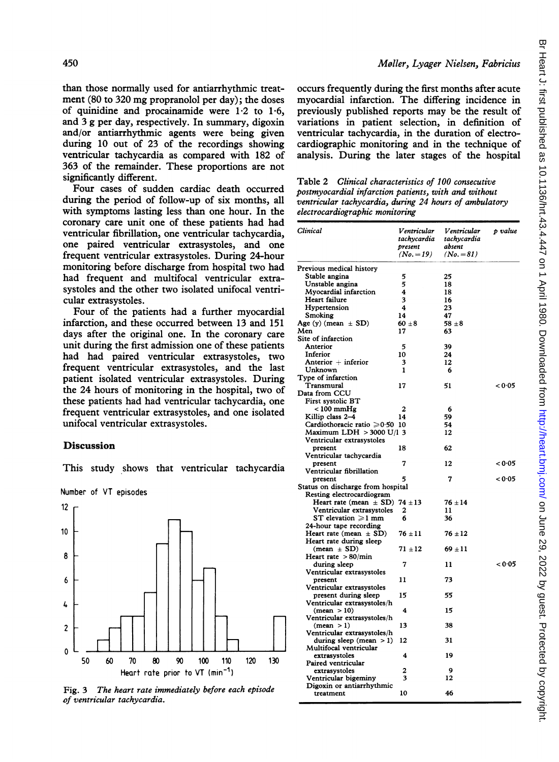than those normally used for antiarrhythmic treatment (80 to 320 mg propranolol per day); the doses of quinidine and procainamide were  $1.2$  to  $1.6$ , and 3 g per day, respectively. In summary, digoxin and/or antiarrhythmic agents were being given during 10 out of 23 of the recordings showing ventricular tachycardia as compared with 182 of 363 of the remainder. These proportions are not significantly different.

Four cases of sudden cardiac death occurred during the period of follow-up of six months, all with symptoms lasting less than one hour. In the coronary care unit one of these patients had had ventricular fibrillation, one ventricular tachycardia, one paired ventricular extrasystoles, and one frequent ventricular extrasystoles. During 24-hour monitoring before discharge from hospital two had had frequent and multifocal ventricular extrasystoles and the other two isolated unifocal ventricular extrasystoles.

Four of the patients had a further myocardial infarction, and these occurred between 13 and 151 days after the original one. In the coronary care unit during the first admission one of these patients had had paired ventricular extrasystoles, two frequent ventricular extrasystoles, and the last patient isolated ventricular extrasystoles. During the 24 hours of monitoring in the hospital, two of these patients had had ventricular tachycardia, one frequent ventricular extrasystoles, and one isolated unifocal ventricular extrasystoles.

# Discussion

This study shows that ventricular tachycardia

Number of VT episodes



Fig. 3 The heart rate immediately before each episode of ventricular tachycardia.

#### Moller, Lyager Nielsen, Fabricius

occurs frequently during the first months after acute myocardial infarction. The differing incidence in previously published reports may be the result of variations in patient selection, in definition of ventricular tachycardia, in the duration of electrocardiographic monitoring and in the technique of analysis. During the later stages of the hospital

| Table 2 Clinical characteristics of 100 consecutive    |
|--------------------------------------------------------|
| postmyocardial infarction patients, with and without   |
| ventricular tachycardia, during 24 hours of ambulatory |
| electrocardiographic monitoring                        |

| <b>Clinical</b>                                          | Ventricular<br>tachycardia<br>present<br>(No. $=19$ ) | Ventricular<br>tachycardia<br>absent<br>(No. $= 81$ ) | p value |
|----------------------------------------------------------|-------------------------------------------------------|-------------------------------------------------------|---------|
| Previous medical history                                 |                                                       |                                                       |         |
| Stable angina                                            | 5                                                     | 25                                                    |         |
| Unstable angina                                          | 5                                                     | 18                                                    |         |
| Myocardial infarction                                    | 4                                                     | 18                                                    |         |
| Heart failure                                            | 3                                                     | 16                                                    |         |
| Hypertension                                             | 4                                                     | 23                                                    |         |
| Smoking                                                  | 14                                                    | 47                                                    |         |
| Age (y) (mean $\pm$ SD)                                  | $60 \pm 8$                                            | $58 \pm 8$                                            |         |
| Men                                                      | 17                                                    | 63                                                    |         |
| Site of infarction                                       |                                                       |                                                       |         |
| Anterior                                                 | 5                                                     | 39                                                    |         |
| Inferior                                                 | 10                                                    | 24                                                    |         |
| Anterior + inferior                                      | 3                                                     | 12                                                    |         |
| Unknown                                                  | 1                                                     | 6                                                     |         |
| Type of infarction                                       |                                                       |                                                       |         |
| Transmural                                               | 17                                                    | 51                                                    | < 0.05  |
| Data from CCU                                            |                                                       |                                                       |         |
| First systolic BT                                        |                                                       |                                                       |         |
| < 100 mmHg                                               | $\overline{2}$                                        | 6                                                     |         |
| Killip class 2-4                                         | 14                                                    | 59                                                    |         |
| Cardiothoracic ratio ≥0.50 10                            |                                                       | 54                                                    |         |
| Maximum LDH > 3000 U/l 3                                 |                                                       | 12                                                    |         |
| Ventricular extrasystoles                                |                                                       |                                                       |         |
| present                                                  | 18                                                    | 62                                                    |         |
| Ventricular tachycardia                                  |                                                       |                                                       |         |
| present                                                  | 7                                                     | 12                                                    | < 0∙05  |
| Ventricular fibrillation                                 |                                                       |                                                       |         |
| present                                                  | 5                                                     | 7                                                     | < 0.05  |
| Status on discharge from hospital                        |                                                       |                                                       |         |
| Resting electrocardiogram                                |                                                       |                                                       |         |
| Heart rate (mean $\pm$ SD) 74 $\pm$ 13                   |                                                       | $76 \pm 14$                                           |         |
| Ventricular extrasystoles                                | 2                                                     | 11                                                    |         |
| ST elevation $\geqslant$ 1 mm                            | 6                                                     | 36                                                    |         |
| 24-hour tape recording                                   |                                                       |                                                       |         |
| Heart rate (mean $\pm$ SD)                               | $76 \pm 11$                                           | $76 \pm 12$                                           |         |
| Heart rate during sleep                                  |                                                       |                                                       |         |
| $(mean \pm SD)$                                          | $71 + 12$                                             | $69 \pm 11$                                           |         |
| Heart rate $>80/\text{min}$                              |                                                       |                                                       |         |
| during sleep                                             | 7                                                     | 11                                                    | < 0.05  |
| Ventricular extrasystoles                                |                                                       |                                                       |         |
| present                                                  | 11                                                    | 73                                                    |         |
| Ventricular extrasystoles                                |                                                       |                                                       |         |
| present during sleep                                     | 15                                                    | 55                                                    |         |
| Ventricular extrasystoles/h                              |                                                       |                                                       |         |
| (mean > 10)                                              | 4                                                     | 15                                                    |         |
| Ventricular extrasystoles/h                              |                                                       |                                                       |         |
| (mean > 1)                                               | 13                                                    | 38                                                    |         |
| Ventricular extrasystoles/h<br>during sleep (mean $>1$ ) | 12                                                    | 31                                                    |         |
| Multifocal ventricular                                   |                                                       |                                                       |         |
| extrasystoles                                            | 4                                                     | 19                                                    |         |
| Paired ventricular                                       |                                                       |                                                       |         |
| extrasystoles                                            | 2                                                     | 9                                                     |         |
| Ventricular bigeminy                                     | 3                                                     | 12                                                    |         |
| Digoxin or antiarrhythmic                                |                                                       |                                                       |         |
| treatment                                                | 10                                                    | 46                                                    |         |
|                                                          |                                                       |                                                       |         |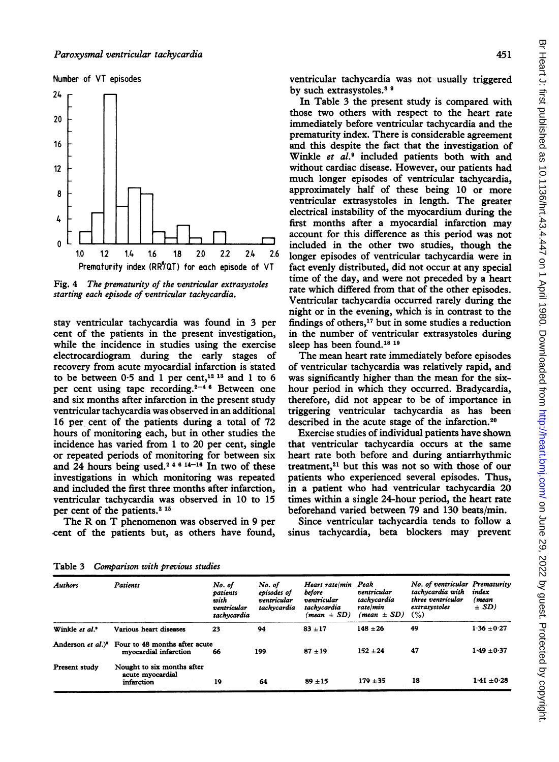#### Number of VT episodes



Fig. 4 The prematurity of the ventricular extrasystoles starting each episode of ventricular tachycardia.

stay ventricular tachycardia was found in 3 per cent of the patients in the present investigation, while the incidence in studies using the exercise electrocardiogram during the early stages of recovery from acute myocardial infarction is stated to be between  $0.5$  and 1 per cent,<sup>12 13</sup> and 1 to 6 per cent using tape recording. $2-4$  <sup>6</sup> Between one and six months after infarction in the present study ventricular tachycardia was observed in an additional 16 per cent of the patients during a total of 72 hours of monitoring each, but in other studies the incidence has varied from <sup>1</sup> to 20 per cent, single or repeated periods of monitoring for between six and 24 hours being used.<sup>24614-16</sup> In two of these investigations in which monitoring was repeated and included the first three months after infarction, ventricular tachycardia was observed in 10 to 15 per cent of the patients.<sup>2 15</sup>

The R on T phenomenon was observed in <sup>9</sup> per cent of the patients but, as others have found, ventricular tachycardia was not usually triggered by such extrasystoles.<sup>8</sup> <sup>9</sup>

In Table 3 the present study is compared with those two others with respect to the heart rate immediately before ventricular tachycardia and the prematurity index. There is considerable agreement and this despite the fact that the investigation of Winkle et al.<sup>9</sup> included patients both with and without cardiac disease. However, our patients had much longer episodes of ventricular tachycardia, approximately half of these being 10 or more ventricular extrasystoles in length. The greater electrical instability of the myocardium during the first months after a myocardial infarction may account for this difference as this period was not included in the other two studies, though the longer episodes of ventricular tachycardia were in fact evenly distributed, did not occur at any special time of the day, and were not preceded by a heart rate which differed from that of the other episodes. Ventricular tachycardia occurred rarely during the night or in the evening, which is in contrast to the findings of others, $17$  but in some studies a reduction in the number of ventricular extrasystoles during sleep has been found.<sup>18 19</sup>

The mean heart rate immediately before episodes of ventricular tachycardia was relatively rapid, and was significantly higher than the mean for the sixhour period in which they occurred. Bradycardia, therefore, did not appear to be of importance in triggering ventricular tachycardia as has been described in the acute stage of the infarction.20

Exercise studies of individual patients have shown that ventricular tachycardia occurs at the same heart rate both before and during antiarrhythmic treatment,<sup>21</sup> but this was not so with those of our patients who experienced several episodes. Thus, in a patient who had ventricular tachycardia 20 times within a single 24-hour period, the heart rate beforehand varied between 79 and 130 beats/min.

Since ventricular tachycardia tends to follow a sinus tachycardia, beta blockers may prevent

| <b>Authors</b>       | Patients                                                                             | No. of<br>patients<br>with<br>ventricular<br>tachycardia | No. of<br>episodes of<br>ventricular<br>tachycardia | Heart rate/min Peak<br>before<br>ventricular<br>tachycardia<br>$(mean \pm SD)$ | ventricular<br>tachycardia<br>rate/min<br>$(mean \pm SD)$ | No. of ventricular Prematurity<br>tachycardia with<br>three ventricular<br>extrasystoles<br>(%) | index<br>(mean<br>$\pm SD$ |
|----------------------|--------------------------------------------------------------------------------------|----------------------------------------------------------|-----------------------------------------------------|--------------------------------------------------------------------------------|-----------------------------------------------------------|-------------------------------------------------------------------------------------------------|----------------------------|
| Winkle et al.'       | Various heart diseases                                                               | 23                                                       | 94                                                  | $83 + 17$                                                                      | $148 + 26$                                                | 49                                                                                              | $1.36 \pm 0.27$            |
|                      | Anderson et al.) <sup>8</sup> Four to 48 months after acute<br>myocardial infarction | 66                                                       | 199                                                 | $87 + 19$                                                                      | $152 + 24$                                                | 47                                                                                              | $1.49 \pm 0.37$            |
| <b>Present study</b> | Nought to six months after<br>acute myocardial<br>infarction                         | 19                                                       | 64                                                  | $89 + 15$                                                                      | $179 + 35$                                                | 18                                                                                              | $1.41 \pm 0.28$            |

Table 3 Comparison with previous studies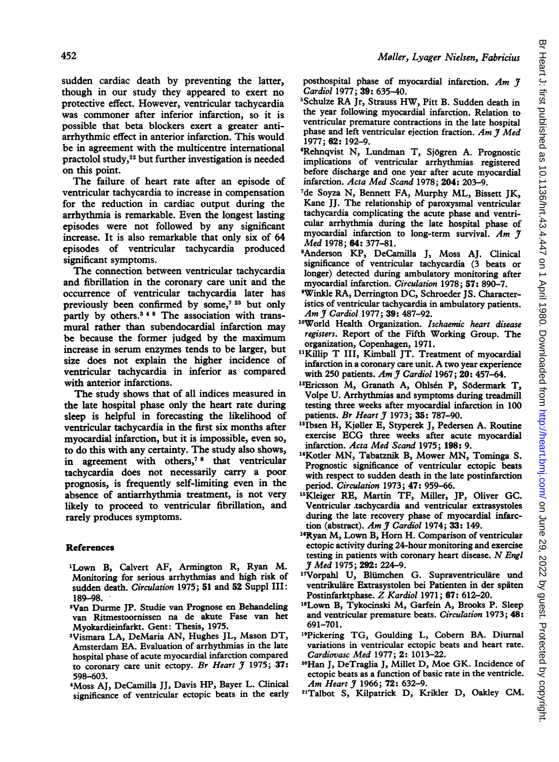sudden cardiac death by preventing the latter, though in our study they appeared to exert no protective effect. However, ventricular tachycardia was commoner after inferior infarction, so it is possible that beta blockers exert a greater antiarrhythmic effect in anterior infarction. This would be in agreement with the multicentre international practolol study,22 but further investigation is needed on this point.

The failure of heart rate after an episode of ventricular tachycardia to increase in compensation for the reduction in cardiac output during the arrhythmia is remarkable. Even the longest lasting episodes were not followed by any significant increase. It is also remarkable that only six of 64 episodes of ventricular tachycardia produced significant symptoms.

The connection between ventricular tachycardia and fibrillation in the coronary care unit and the occurrence of ventricular tachycardia later has previously been confirmed by some,<sup>7 23</sup> but only partly by others.<sup>348</sup> The association with transmural rather than subendocardial infarction may be because the former judged by the maximum increase in serum enzymes tends to be larger, but size does not explain the higher incidence of ventricular tachycardia in inferior as compared with anterior infarctions.

The study shows that of all indices measured in the late hospital phase only the heart rate during sleep is helpful in forecasting the likelihood of ventricular tachycardia in the first six months after myocardial infarction, but it is impossible, even so, to do this with any certainty. The study also shows, in agreement with others,7 <sup>8</sup> that ventricular tachycardia does not necessarily carry a poor prognosis, is frequently self-limiting even in the absence of antiarrhythmia treatment, is not very likely to proceed to ventricular fibrillation, and rarely produces symptoms.

# References

- 'Lown B, Calvert AF, Armington R, Ryan M. Monitoring for serious arrhythmias and high risk of sudden death. Circulation 1975; 51 and 52 Suppl III: 189-98.
- 2Van Durme JP. Studie van Prognose en Behandeling van Ritmestoornissen na de akute Fase van het Myokardieinfarkt. Gent: Thesis, 1975.
- 3Vismara LA, DeMaria AN, Hughes JL, Mason DT, Amsterdam EA. Evaluation of arrhythmias in the late hospital phase of acute myocardial infarction compared to coronary care unit ectopy. Br Heart  $\tilde{\jmath}$  1975; 37: 598-603.
- 4Moss AJ, DeCamilla JJ, Davis HP, Bayer L. Clinical significance of ventricular ectopic beats in the early

posthospital phase of myocardial infarction. Am  $\tilde{\tau}$ Cardiol 1977; 39: 635-40.

- <sup>5</sup>Schulze RA Jr, Strauss HW, Pitt B. Sudden death in the year following myocardial infarction. Relation to ventricular premature contractions in the late hospital phase and left ventricular ejection fraction. Am  $\widetilde{\jmath}$  Med 1977; 62: 192-9.
- 6Rehnqvist N, Lundman T, Sj6gren A. Prognostic implications of ventricular arrhythmias registered before discharge and one year after acute myocardial infarction. Acta Med Scand 1978; 204: 203-9.
- 7de Soyza N, Bennett FA, Murphy ML, Bissett JK, Kane JJ. The relationship of paroxysmal ventricular tachycardia complicating the acute phase and ventricular arrhythmia during the late hospital phase of myocardial infarction to long-term survival. Am 7 Med 1978; 64: 377-81.
- <sup>8</sup>Anderson KP, DeCamilla J, Moss AJ. Clinical significance of ventricular tachycardia (3 beats or longer) detected during ambulatory monitoring after myocardial infarction. Circulation 1978; 57: 890-7.
- 'Winkle RA, Derrington DC, Schroeder JS. Characteristics of ventricular tachycardia in ambulatory patients. Am J Cardiol 1977; 39: 487-92.
- <sup>10</sup>World Health Organization. Ischaemic heart disease registers. Report of the Fifth Working Group. The organization, Copenhagen, 1971.
- <sup>11</sup>Killip T III, Kimball JT. Treatment of myocardial infarction in <sup>a</sup> coronary care unit. A two year experience with 250 patients. Am J Cardiol 1967; 20: 457-64.
- <sup>12</sup>Ericsson M, Granath A, Ohlsén P, Södermark T, Volpe U. Arrhythmias and symptoms during treadmill testing three weeks after myocardial infarction in 100 patients. Br Heart *J* 1973; 35: 787-90.
- <sup>13</sup>Ibsen H, Kjøller E, Styperek J, Pedersen A. Routine exercise ECG three weeks after acute myocardial infarction. Acta Med Scand 1975; 198: 9.
- <sup>14</sup>Kotler MN, Tabatznik B, Mower MN, Tominga S. Prognostic significance of ventricular ectopic beats with respect to sudden death in the late postinfarction period. Circulation 1973; 47: 959-66.
- '6Kleiger RE, Martin TF, Miller, JP, Oliver GC. Ventricular .tachycardia and ventricular extrasystoles during the late recovery phase of myocardial infarction (abstract). Am J Cardiol 1974; 33: 149.
- <sup>16</sup>Ryan M, Lown B, Horn H. Comparison of ventricular ectopic activity during 24-hour monitoring and exercise testing in patients with coronary heart disease. N Engl Jf Med 1975; 292: 224-9.
- <sup>17</sup>Vorpahl U, Blümchen G. Supraventriculäre und ventrikulare Extrasystolen bei Patienten in der spaten Postinfarktphase. Z Kardiol 1971; 67: 612-20.
- <sup>18</sup>Lown B, Tykocinski M, Garfein A, Brooks P. Sleep and ventricular premature beats. Circulation 1973; 48: 691-701.
- <sup>19</sup>Pickering TG, Goulding L, Cobern BA. Diurnal variations in ventricular ectopic beats and heart rate. Cardiovasc Med 1977; 2: 1013-22.
- 2"Han J, DeTraglia J, Millet D, Moe GK. Incidence of ectopic beats as a function of basic rate in the ventricle. Am Heart *J* 1966; 72: 632-9.
- <sup>21</sup>Talbot S, Kilpatrick D, Krikler D, Oakley CM.